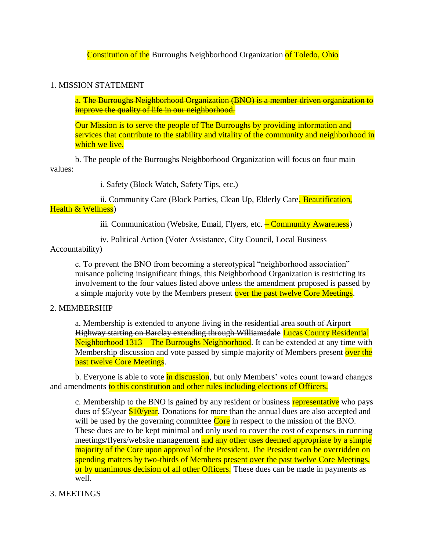Constitution of the Burroughs Neighborhood Organization of Toledo, Ohio

## 1. MISSION STATEMENT

a. The Burroughs Neighborhood Organization (BNO) is a member driven organization to improve the quality of life in our neighborhood.

Our Mission is to serve the people of The Burroughs by providing information and services that contribute to the stability and vitality of the community and neighborhood in which we live.

b. The people of the Burroughs Neighborhood Organization will focus on four main values:

i. Safety (Block Watch, Safety Tips, etc.)

ii. Community Care (Block Parties, Clean Up, Elderly Care, Beautification, Health & Wellness)

iii. Communication (Website, Email, Flyers, etc. – Community Awareness)

iv. Political Action (Voter Assistance, City Council, Local Business

## Accountability)

c. To prevent the BNO from becoming a stereotypical "neighborhood association" nuisance policing insignificant things, this Neighborhood Organization is restricting its involvement to the four values listed above unless the amendment proposed is passed by a simple majority vote by the Members present over the past twelve Core Meetings.

# 2. MEMBERSHIP

a. Membership is extended to anyone living in the residential area south of Airport Highway starting on Barclay extending through Williamsdale Lucas County Residential Neighborhood 1313 – The Burroughs Neighborhood. It can be extended at any time with Membership discussion and vote passed by simple majority of Members present over the past twelve Core Meetings.

b. Everyone is able to vote in discussion, but only Members' votes count toward changes and amendments to this constitution and other rules including elections of Officers.

c. Membership to the BNO is gained by any resident or business representative who pays dues of \$5/year \$10/year. Donations for more than the annual dues are also accepted and will be used by the governing committee Core in respect to the mission of the BNO. These dues are to be kept minimal and only used to cover the cost of expenses in running meetings/flyers/website management and any other uses deemed appropriate by a simple majority of the Core upon approval of the President. The President can be overridden on spending matters by two-thirds of Members present over the past twelve Core Meetings, or by unanimous decision of all other Officers. These dues can be made in payments as well.

# 3. MEETINGS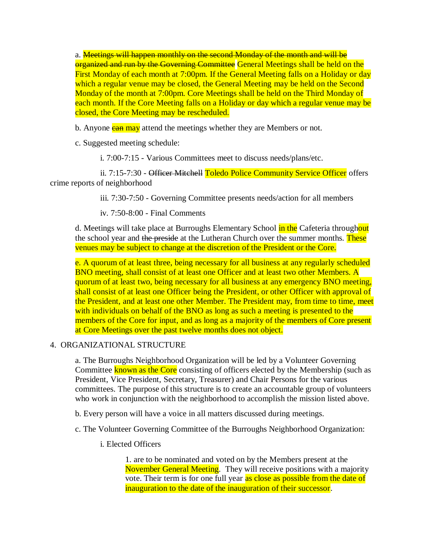a. **Meetings will happen monthly on the second Monday of the month and will be** organized and run by the Governing Committee General Meetings shall be held on the First Monday of each month at 7:00pm. If the General Meeting falls on a Holiday or day which a regular venue may be closed, the General Meeting may be held on the Second Monday of the month at 7:00pm. Core Meetings shall be held on the Third Monday of each month. If the Core Meeting falls on a Holiday or day which a regular venue may be closed, the Core Meeting may be rescheduled.

b. Anyone **can may** attend the meetings whether they are Members or not.

c. Suggested meeting schedule:

i. 7:00-7:15 - Various Committees meet to discuss needs/plans/etc.

ii. 7:15-7:30 - Officer Mitchell Toledo Police Community Service Officer offers crime reports of neighborhood

iii. 7:30-7:50 - Governing Committee presents needs/action for all members

iv. 7:50-8:00 - Final Comments

d. Meetings will take place at Burroughs Elementary School in the Cafeteria throughout the school year and the preside at the Lutheran Church over the summer months. These venues may be subject to change at the discretion of the President or the Core.

e. A quorum of at least three, being necessary for all business at any regularly scheduled BNO meeting, shall consist of at least one Officer and at least two other Members. A quorum of at least two, being necessary for all business at any emergency BNO meeting, shall consist of at least one Officer being the President, or other Officer with approval of the President, and at least one other Member. The President may, from time to time, meet with individuals on behalf of the BNO as long as such a meeting is presented to the members of the Core for input, and as long as a majority of the members of Core present at Core Meetings over the past twelve months does not object.

## 4. ORGANIZATIONAL STRUCTURE

a. The Burroughs Neighborhood Organization will be led by a Volunteer Governing Committee **known as the Core** consisting of officers elected by the Membership (such as President, Vice President, Secretary, Treasurer) and Chair Persons for the various committees. The purpose of this structure is to create an accountable group of volunteers who work in conjunction with the neighborhood to accomplish the mission listed above.

- b. Every person will have a voice in all matters discussed during meetings.
- c. The Volunteer Governing Committee of the Burroughs Neighborhood Organization:
	- i. Elected Officers

1. are to be nominated and voted on by the Members present at the November General Meeting. They will receive positions with a majority vote. Their term is for one full year as close as possible from the date of inauguration to the date of the inauguration of their successor.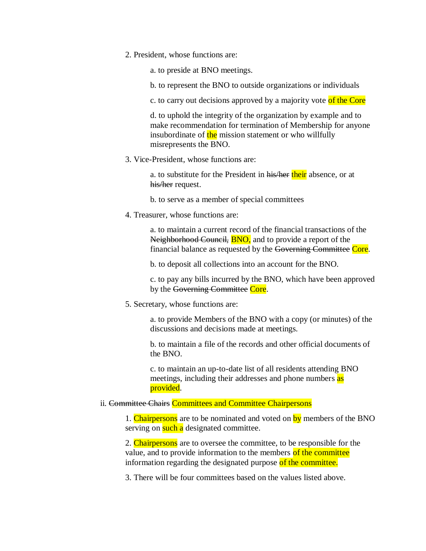2. President, whose functions are:

a. to preside at BNO meetings.

b. to represent the BNO to outside organizations or individuals

c. to carry out decisions approved by a majority vote of the Core

d. to uphold the integrity of the organization by example and to make recommendation for termination of Membership for anyone insubordinate of the mission statement or who willfully misrepresents the BNO.

3. Vice-President, whose functions are:

a. to substitute for the President in his/her their absence, or at his/her request.

b. to serve as a member of special committees

4. Treasurer, whose functions are:

a. to maintain a current record of the financial transactions of the Neighborhood Council, **BNO**, and to provide a report of the financial balance as requested by the Governing Committee Core.

b. to deposit all collections into an account for the BNO.

c. to pay any bills incurred by the BNO, which have been approved by the Governing Committee Core.

5. Secretary, whose functions are:

a. to provide Members of the BNO with a copy (or minutes) of the discussions and decisions made at meetings.

b. to maintain a file of the records and other official documents of the BNO.

c. to maintain an up-to-date list of all residents attending BNO meetings, including their addresses and phone numbers as provided.

#### ii. Committee Chairs Committees and Committee Chairpersons

1. Chairpersons are to be nominated and voted on by members of the BNO serving on such a designated committee.

2. Chairpersons are to oversee the committee, to be responsible for the value, and to provide information to the members of the committee information regarding the designated purpose of the committee.

3. There will be four committees based on the values listed above.